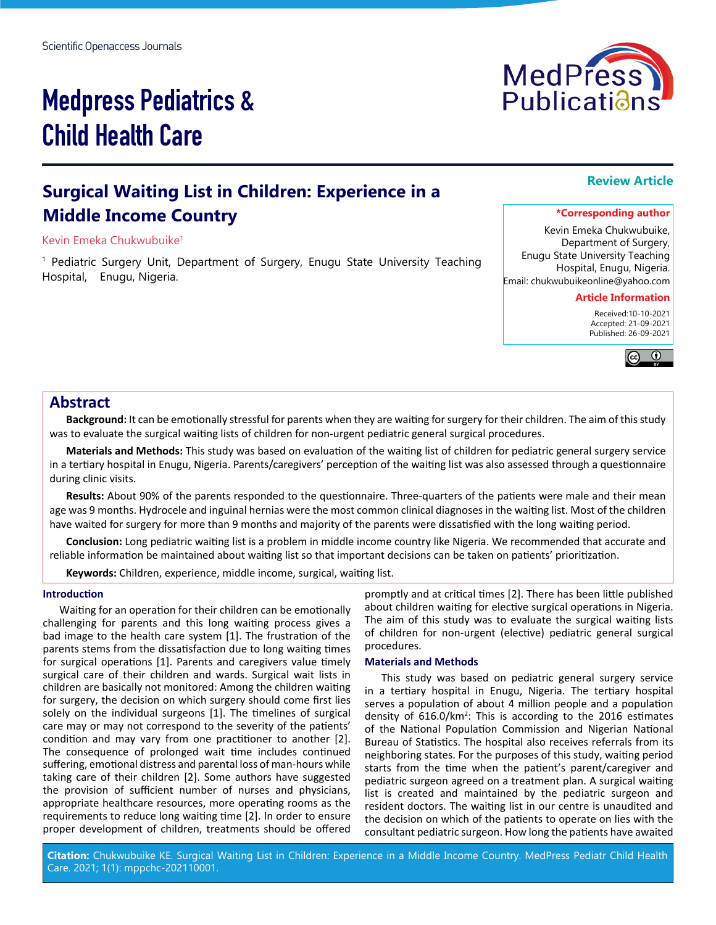# Medpress Pediatrics & Child Health Care

### **Surgical Waiting List in Children: Experience in a Middle Income Country**

#### Kevin Emeka Chukwubuike1

1 Pediatric Surgery Unit, Department of Surgery, Enugu State University Teaching Hospital, Enugu, Nigeria.

Kevin Emeka Chukwubuike, Department of Surgery, Enugu State University Teaching Hospital, Enugu, Nigeria.

Email: chukwubuikeonline@yahoo.com

#### **Article Information**

 Received:10-10-2021 Accepted: 21-09-2021 Published: 26-09-2021



#### **Abstract**

**Background:** It can be emotionally stressful for parents when they are waiting for surgery for their children. The aim of this study was to evaluate the surgical waiting lists of children for non-urgent pediatric general surgical procedures.

**Materials and Methods:** This study was based on evaluation of the waiting list of children for pediatric general surgery service in a tertiary hospital in Enugu, Nigeria. Parents/caregivers' perception of the waiting list was also assessed through a questionnaire during clinic visits.

**Results:** About 90% of the parents responded to the questionnaire. Three-quarters of the patients were male and their mean age was 9 months. Hydrocele and inguinal hernias were the most common clinical diagnoses in the waiting list. Most of the children have waited for surgery for more than 9 months and majority of the parents were dissatisfied with the long waiting period.

**Conclusion:** Long pediatric waiting list is a problem in middle income country like Nigeria. We recommended that accurate and reliable information be maintained about waiting list so that important decisions can be taken on patients' prioritization.

**Keywords:** Children, experience, middle income, surgical, waiting list.

#### **Introduction**

Waiting for an operation for their children can be emotionally challenging for parents and this long waiting process gives a bad image to the health care system [1]. The frustration of the parents stems from the dissatisfaction due to long waiting times for surgical operations [1]. Parents and caregivers value timely surgical care of their children and wards. Surgical wait lists in children are basically not monitored: Among the children waiting for surgery, the decision on which surgery should come first lies solely on the individual surgeons [1]. The timelines of surgical care may or may not correspond to the severity of the patients' condition and may vary from one practitioner to another [2]. The consequence of prolonged wait time includes continued suffering, emotional distress and parental loss of man-hours while taking care of their children [2]. Some authors have suggested the provision of sufficient number of nurses and physicians, appropriate healthcare resources, more operating rooms as the requirements to reduce long waiting time [2]. In order to ensure proper development of children, treatments should be offered

promptly and at critical times [2]. There has been little published about children waiting for elective surgical operations in Nigeria. The aim of this study was to evaluate the surgical waiting lists of children for non-urgent (elective) pediatric general surgical procedures.

#### **Materials and Methods**

This study was based on pediatric general surgery service in a tertiary hospital in Enugu, Nigeria. The tertiary hospital serves a population of about 4 million people and a population density of 616.0/km<sup>2</sup>: This is according to the 2016 estimates of the National Population Commission and Nigerian National Bureau of Statistics. The hospital also receives referrals from its neighboring states. For the purposes of this study, waiting period starts from the time when the patient's parent/caregiver and pediatric surgeon agreed on a treatment plan. A surgical waiting list is created and maintained by the pediatric surgeon and resident doctors. The waiting list in our centre is unaudited and the decision on which of the patients to operate on lies with the consultant pediatric surgeon. How long the patients have awaited

**Citation:** Chukwubuike KE. Surgical Waiting List in Children: Experience in a Middle Income Country. MedPress Pediatr Child Health Care. 2021; 1(1): mppchc-202110001.



## **Review Article**

**\*Corresponding author**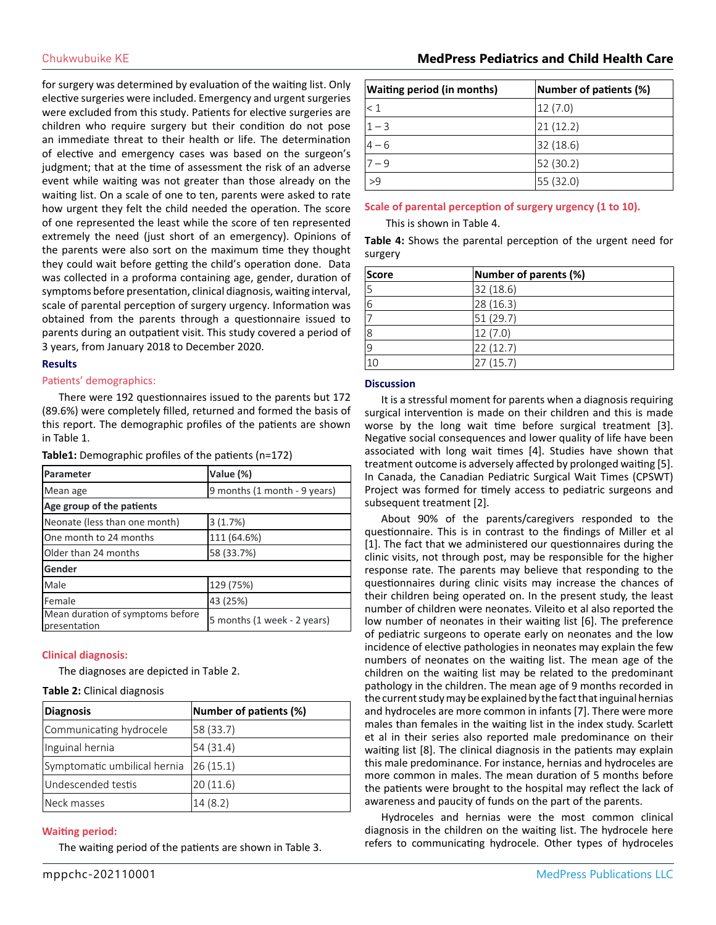for surgery was determined by evaluation of the waiting list. Only elective surgeries were included. Emergency and urgent surgeries were excluded from this study. Patients for elective surgeries are children who require surgery but their condition do not pose an immediate threat to their health or life. The determination of elective and emergency cases was based on the surgeon's judgment; that at the time of assessment the risk of an adverse event while waiting was not greater than those already on the waiting list. On a scale of one to ten, parents were asked to rate how urgent they felt the child needed the operation. The score of one represented the least while the score of ten represented extremely the need (just short of an emergency). Opinions of the parents were also sort on the maximum time they thought they could wait before getting the child's operation done. Data was collected in a proforma containing age, gender, duration of symptoms before presentation, clinical diagnosis, waiting interval, scale of parental perception of surgery urgency. Information was obtained from the parents through a questionnaire issued to parents during an outpatient visit. This study covered a period of 3 years, from January 2018 to December 2020.

#### **Results**

#### Patients' demographics:

There were 192 questionnaires issued to the parents but 172 (89.6%) were completely filled, returned and formed the basis of this report. The demographic profiles of the patients are shown in Table 1.

| Table1: Demographic profiles of the patients (n=172) |  |  |
|------------------------------------------------------|--|--|
|------------------------------------------------------|--|--|

| Parameter                                        | Value (%)                    |  |
|--------------------------------------------------|------------------------------|--|
| Mean age                                         | 9 months (1 month - 9 years) |  |
| Age group of the patients                        |                              |  |
| Neonate (less than one month)                    | 3(1.7%)                      |  |
| One month to 24 months                           | 111 (64.6%)                  |  |
| Older than 24 months                             | 58 (33.7%)                   |  |
| Gender                                           |                              |  |
| Male                                             | 129 (75%)                    |  |
| Female                                           | 43 (25%)                     |  |
| Mean duration of symptoms before<br>presentation | 5 months (1 week - 2 years)  |  |

#### **Clinical diagnosis:**

The diagnoses are depicted in Table 2.

#### **Table 2:** Clinical diagnosis

| Diagnosis                    | Number of patients (%) |
|------------------------------|------------------------|
| Communicating hydrocele      | 58 (33.7)              |
| Inguinal hernia              | 54 (31.4)              |
| Symptomatic umbilical hernia | 26(15.1)               |
| Undescended testis           | 20(11.6)               |
| Neck masses                  | 14(8.2)                |

#### **Waiting period:**

The waiting period of the patients are shown in Table 3.

| <b>Waiting period (in months)</b> | Number of patients (%) |
|-----------------------------------|------------------------|
| $\leq 1$                          | 12(7.0)                |
| $1 - 3$                           | 21(12.2)               |
| $4 - 6$                           | 32 (18.6)              |
| $7 - 9$                           | 52 (30.2)              |
| >9                                | 55 (32.0)              |

#### **Scale of parental perception of surgery urgency (1 to 10).**

This is shown in Table 4.

**Table 4:** Shows the parental perception of the urgent need for surgery

| Score          | Number of parents (%) |
|----------------|-----------------------|
| 5              | 32(18.6)              |
| 6              | 28 (16.3)             |
|                | 51(29.7)              |
| 18             | 12(7.0)               |
| $\overline{9}$ | 22 (12.7)             |
| 10             | 27 (15.7)             |

#### **Discussion**

It is a stressful moment for parents when a diagnosis requiring surgical intervention is made on their children and this is made worse by the long wait time before surgical treatment [3]. Negative social consequences and lower quality of life have been associated with long wait times [4]. Studies have shown that treatment outcome is adversely affected by prolonged waiting [5]. In Canada, the Canadian Pediatric Surgical Wait Times (CPSWT) Project was formed for timely access to pediatric surgeons and subsequent treatment [2].

About 90% of the parents/caregivers responded to the questionnaire. This is in contrast to the findings of Miller et al [1]. The fact that we administered our questionnaires during the clinic visits, not through post, may be responsible for the higher response rate. The parents may believe that responding to the questionnaires during clinic visits may increase the chances of their children being operated on. In the present study, the least number of children were neonates. Vileito et al also reported the low number of neonates in their waiting list [6]. The preference of pediatric surgeons to operate early on neonates and the low incidence of elective pathologies in neonates may explain the few numbers of neonates on the waiting list. The mean age of the children on the waiting list may be related to the predominant pathology in the children. The mean age of 9 months recorded in the current study may be explained by the fact that inguinal hernias and hydroceles are more common in infants [7]. There were more males than females in the waiting list in the index study. Scarlett et al in their series also reported male predominance on their waiting list [8]. The clinical diagnosis in the patients may explain this male predominance. For instance, hernias and hydroceles are more common in males. The mean duration of 5 months before the patients were brought to the hospital may reflect the lack of awareness and paucity of funds on the part of the parents.

Hydroceles and hernias were the most common clinical diagnosis in the children on the waiting list. The hydrocele here refers to communicating hydrocele. Other types of hydroceles